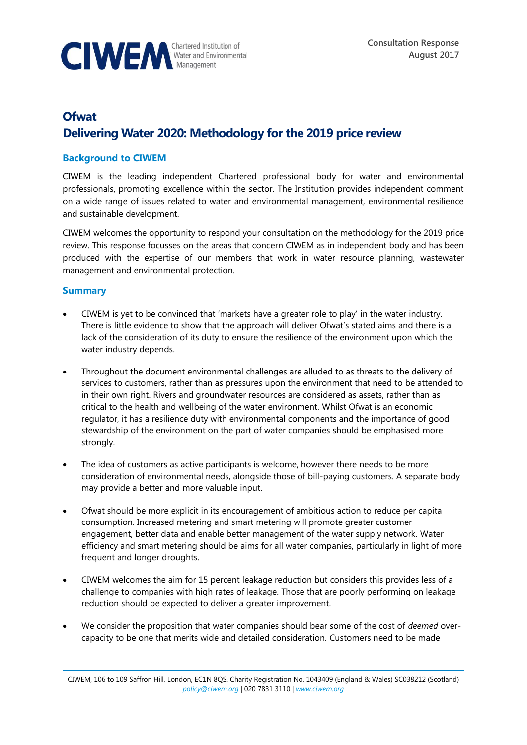

# **Ofwat Delivering Water 2020: Methodology for the 2019 price review**

## **Background to CIWEM**

CIWEM is the leading independent Chartered professional body for water and environmental professionals, promoting excellence within the sector. The Institution provides independent comment on a wide range of issues related to water and environmental management, environmental resilience and sustainable development.

CIWEM welcomes the opportunity to respond your consultation on the methodology for the 2019 price review. This response focusses on the areas that concern CIWEM as in independent body and has been produced with the expertise of our members that work in water resource planning, wastewater management and environmental protection.

## **Summary**

- CIWEM is yet to be convinced that 'markets have a greater role to play' in the water industry. There is little evidence to show that the approach will deliver Ofwat's stated aims and there is a lack of the consideration of its duty to ensure the resilience of the environment upon which the water industry depends.
- Throughout the document environmental challenges are alluded to as threats to the delivery of services to customers, rather than as pressures upon the environment that need to be attended to in their own right. Rivers and groundwater resources are considered as assets, rather than as critical to the health and wellbeing of the water environment. Whilst Ofwat is an economic regulator, it has a resilience duty with environmental components and the importance of good stewardship of the environment on the part of water companies should be emphasised more strongly.
- The idea of customers as active participants is welcome, however there needs to be more consideration of environmental needs, alongside those of bill-paying customers. A separate body may provide a better and more valuable input.
- Ofwat should be more explicit in its encouragement of ambitious action to reduce per capita consumption. Increased metering and smart metering will promote greater customer engagement, better data and enable better management of the water supply network. Water efficiency and smart metering should be aims for all water companies, particularly in light of more frequent and longer droughts.
- CIWEM welcomes the aim for 15 percent leakage reduction but considers this provides less of a challenge to companies with high rates of leakage. Those that are poorly performing on leakage reduction should be expected to deliver a greater improvement.
- We consider the proposition that water companies should bear some of the cost of *deemed* overcapacity to be one that merits wide and detailed consideration. Customers need to be made

CIWEM, 106 to 109 Saffron Hill, London, EC1N 8QS. Charity Registration No. 1043409 (England & Wales) SC038212 (Scotland) *[policy@ciwem.org](mailto:policy@ciwem.org)* | 020 7831 3110 | *[www.ciwem.org](http://www.ciwem.org/)*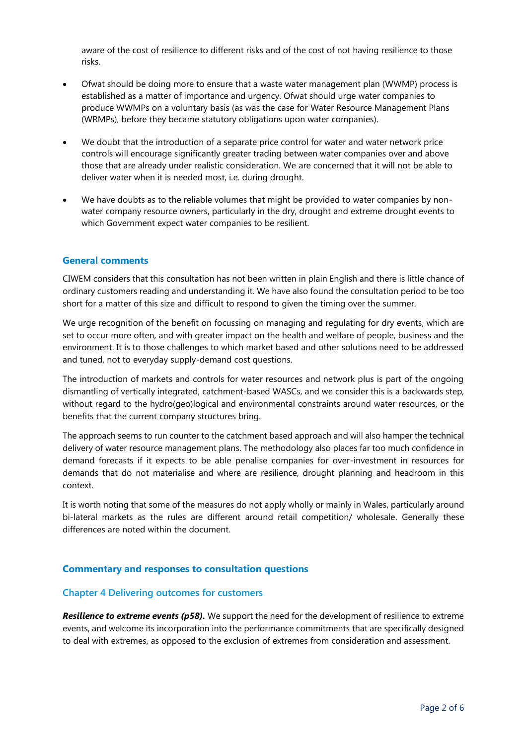aware of the cost of resilience to different risks and of the cost of not having resilience to those risks.

- Ofwat should be doing more to ensure that a waste water management plan (WWMP) process is established as a matter of importance and urgency. Ofwat should urge water companies to produce WWMPs on a voluntary basis (as was the case for Water Resource Management Plans (WRMPs), before they became statutory obligations upon water companies).
- We doubt that the introduction of a separate price control for water and water network price controls will encourage significantly greater trading between water companies over and above those that are already under realistic consideration. We are concerned that it will not be able to deliver water when it is needed most, i.e. during drought.
- We have doubts as to the reliable volumes that might be provided to water companies by nonwater company resource owners, particularly in the dry, drought and extreme drought events to which Government expect water companies to be resilient.

#### **General comments**

CIWEM considers that this consultation has not been written in plain English and there is little chance of ordinary customers reading and understanding it. We have also found the consultation period to be too short for a matter of this size and difficult to respond to given the timing over the summer.

We urge recognition of the benefit on focussing on managing and regulating for dry events, which are set to occur more often, and with greater impact on the health and welfare of people, business and the environment. It is to those challenges to which market based and other solutions need to be addressed and tuned, not to everyday supply-demand cost questions.

The introduction of markets and controls for water resources and network plus is part of the ongoing dismantling of vertically integrated, catchment-based WASCs, and we consider this is a backwards step, without regard to the hydro(geo)logical and environmental constraints around water resources, or the benefits that the current company structures bring.

The approach seems to run counter to the catchment based approach and will also hamper the technical delivery of water resource management plans. The methodology also places far too much confidence in demand forecasts if it expects to be able penalise companies for over-investment in resources for demands that do not materialise and where are resilience, drought planning and headroom in this context.

It is worth noting that some of the measures do not apply wholly or mainly in Wales, particularly around bi-lateral markets as the rules are different around retail competition/ wholesale. Generally these differences are noted within the document.

#### **Commentary and responses to consultation questions**

#### **Chapter 4 Delivering outcomes for customers**

*Resilience to extreme events (p58).* We support the need for the development of resilience to extreme events, and welcome its incorporation into the performance commitments that are specifically designed to deal with extremes, as opposed to the exclusion of extremes from consideration and assessment.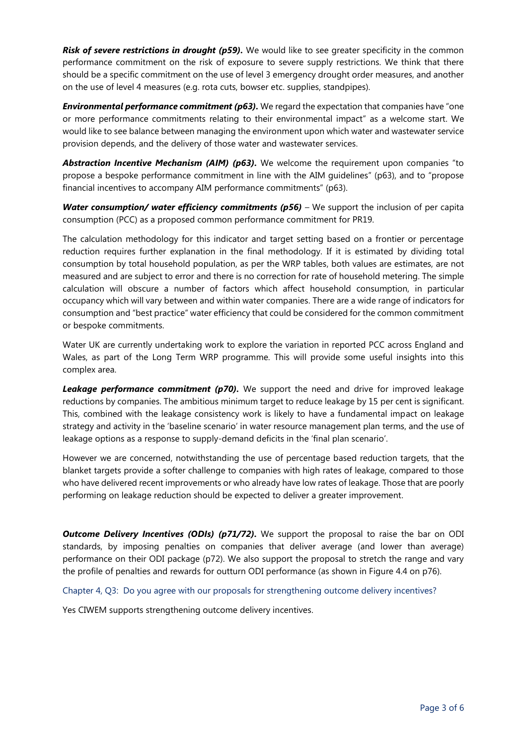**Risk of severe restrictions in drought (p59).** We would like to see greater specificity in the common performance commitment on the risk of exposure to severe supply restrictions. We think that there should be a specific commitment on the use of level 3 emergency drought order measures, and another on the use of level 4 measures (e.g. rota cuts, bowser etc. supplies, standpipes).

**Environmental performance commitment (p63).** We regard the expectation that companies have "one or more performance commitments relating to their environmental impact" as a welcome start. We would like to see balance between managing the environment upon which water and wastewater service provision depends, and the delivery of those water and wastewater services.

*Abstraction Incentive Mechanism (AIM) (p63).* We welcome the requirement upon companies "to propose a bespoke performance commitment in line with the AIM guidelines" (p63), and to "propose financial incentives to accompany AIM performance commitments" (p63).

*Water consumption/ water efficiency commitments (p56) –* We support the inclusion of per capita consumption (PCC) as a proposed common performance commitment for PR19.

The calculation methodology for this indicator and target setting based on a frontier or percentage reduction requires further explanation in the final methodology. If it is estimated by dividing total consumption by total household population, as per the WRP tables, both values are estimates, are not measured and are subject to error and there is no correction for rate of household metering. The simple calculation will obscure a number of factors which affect household consumption, in particular occupancy which will vary between and within water companies. There are a wide range of indicators for consumption and "best practice" water efficiency that could be considered for the common commitment or bespoke commitments.

Water UK are currently undertaking work to explore the variation in reported PCC across England and Wales, as part of the Long Term WRP programme. This will provide some useful insights into this complex area.

**Leakage performance commitment (p70).** We support the need and drive for improved leakage reductions by companies. The ambitious minimum target to reduce leakage by 15 per cent is significant. This, combined with the leakage consistency work is likely to have a fundamental impact on leakage strategy and activity in the 'baseline scenario' in water resource management plan terms, and the use of leakage options as a response to supply-demand deficits in the 'final plan scenario'.

However we are concerned, notwithstanding the use of percentage based reduction targets, that the blanket targets provide a softer challenge to companies with high rates of leakage, compared to those who have delivered recent improvements or who already have low rates of leakage. Those that are poorly performing on leakage reduction should be expected to deliver a greater improvement.

**Outcome Delivery Incentives (ODIs) (p71/72).** We support the proposal to raise the bar on ODI standards, by imposing penalties on companies that deliver average (and lower than average) performance on their ODI package (p72). We also support the proposal to stretch the range and vary the profile of penalties and rewards for outturn ODI performance (as shown in Figure 4.4 on p76).

Chapter 4, Q3: Do you agree with our proposals for strengthening outcome delivery incentives?

Yes CIWEM supports strengthening outcome delivery incentives.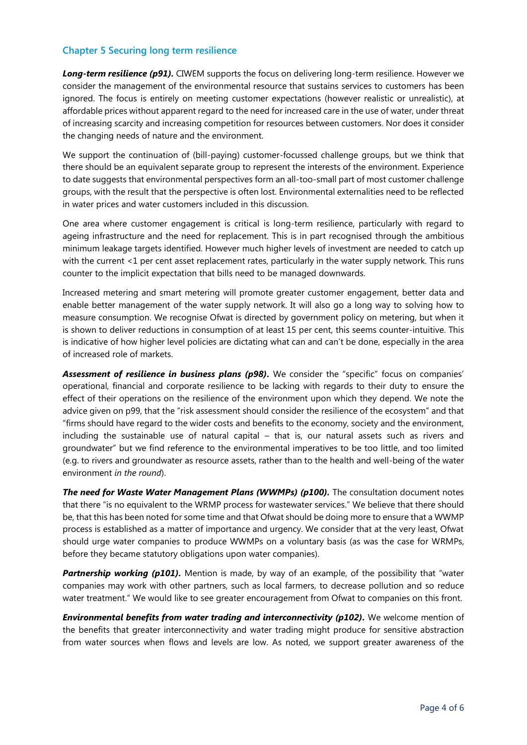## **Chapter 5 Securing long term resilience**

**Long-term resilience (p91).** CIWEM supports the focus on delivering long-term resilience. However we consider the management of the environmental resource that sustains services to customers has been ignored. The focus is entirely on meeting customer expectations (however realistic or unrealistic), at affordable prices without apparent regard to the need for increased care in the use of water, under threat of increasing scarcity and increasing competition for resources between customers. Nor does it consider the changing needs of nature and the environment.

We support the continuation of (bill-paying) customer-focussed challenge groups, but we think that there should be an equivalent separate group to represent the interests of the environment. Experience to date suggests that environmental perspectives form an all-too-small part of most customer challenge groups, with the result that the perspective is often lost. Environmental externalities need to be reflected in water prices and water customers included in this discussion.

One area where customer engagement is critical is long-term resilience, particularly with regard to ageing infrastructure and the need for replacement. This is in part recognised through the ambitious minimum leakage targets identified. However much higher levels of investment are needed to catch up with the current <1 per cent asset replacement rates, particularly in the water supply network. This runs counter to the implicit expectation that bills need to be managed downwards.

Increased metering and smart metering will promote greater customer engagement, better data and enable better management of the water supply network. It will also go a long way to solving how to measure consumption. We recognise Ofwat is directed by government policy on metering, but when it is shown to deliver reductions in consumption of at least 15 per cent, this seems counter-intuitive. This is indicative of how higher level policies are dictating what can and can't be done, especially in the area of increased role of markets.

**Assessment of resilience in business plans (p98).** We consider the "specific" focus on companies' operational, financial and corporate resilience to be lacking with regards to their duty to ensure the effect of their operations on the resilience of the environment upon which they depend. We note the advice given on p99, that the "risk assessment should consider the resilience of the ecosystem" and that "firms should have regard to the wider costs and benefits to the economy, society and the environment, including the sustainable use of natural capital – that is, our natural assets such as rivers and groundwater" but we find reference to the environmental imperatives to be too little, and too limited (e.g. to rivers and groundwater as resource assets, rather than to the health and well-being of the water environment *in the round*).

**The need for Waste Water Management Plans (WWMPs) (p100).** The consultation document notes that there "is no equivalent to the WRMP process for wastewater services." We believe that there should be, that this has been noted for some time and that Ofwat should be doing more to ensure that a WWMP process is established as a matter of importance and urgency. We consider that at the very least, Ofwat should urge water companies to produce WWMPs on a voluntary basis (as was the case for WRMPs, before they became statutory obligations upon water companies).

**Partnership working (p101).** Mention is made, by way of an example, of the possibility that "water companies may work with other partners, such as local farmers, to decrease pollution and so reduce water treatment." We would like to see greater encouragement from Ofwat to companies on this front.

*Environmental benefits from water trading and interconnectivity (p102).* We welcome mention of the benefits that greater interconnectivity and water trading might produce for sensitive abstraction from water sources when flows and levels are low. As noted, we support greater awareness of the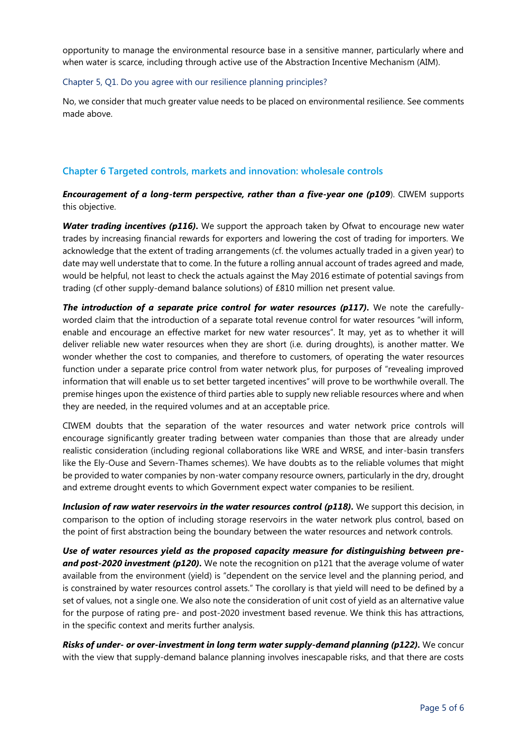opportunity to manage the environmental resource base in a sensitive manner, particularly where and when water is scarce, including through active use of the Abstraction Incentive Mechanism (AIM).

#### Chapter 5, Q1. Do you agree with our resilience planning principles?

No, we consider that much greater value needs to be placed on environmental resilience. See comments made above.

# **Chapter 6 Targeted controls, markets and innovation: wholesale controls**

*Encouragement of a long-term perspective, rather than a five-year one (p109*). CIWEM supports this objective.

**Water trading incentives (p116).** We support the approach taken by Ofwat to encourage new water trades by increasing financial rewards for exporters and lowering the cost of trading for importers. We acknowledge that the extent of trading arrangements (cf. the volumes actually traded in a given year) to date may well understate that to come. In the future a rolling annual account of trades agreed and made, would be helpful, not least to check the actuals against the May 2016 estimate of potential savings from trading (cf other supply-demand balance solutions) of £810 million net present value.

*The introduction of a separate price control for water resources (p117).* We note the carefullyworded claim that the introduction of a separate total revenue control for water resources "will inform, enable and encourage an effective market for new water resources". It may, yet as to whether it will deliver reliable new water resources when they are short (i.e. during droughts), is another matter. We wonder whether the cost to companies, and therefore to customers, of operating the water resources function under a separate price control from water network plus, for purposes of "revealing improved information that will enable us to set better targeted incentives" will prove to be worthwhile overall. The premise hinges upon the existence of third parties able to supply new reliable resources where and when they are needed, in the required volumes and at an acceptable price.

CIWEM doubts that the separation of the water resources and water network price controls will encourage significantly greater trading between water companies than those that are already under realistic consideration (including regional collaborations like WRE and WRSE, and inter-basin transfers like the Ely-Ouse and Severn-Thames schemes). We have doubts as to the reliable volumes that might be provided to water companies by non-water company resource owners, particularly in the dry, drought and extreme drought events to which Government expect water companies to be resilient.

*Inclusion of raw water reservoirs in the water resources control (p118).* We support this decision, in comparison to the option of including storage reservoirs in the water network plus control, based on the point of first abstraction being the boundary between the water resources and network controls.

*Use of water resources yield as the proposed capacity measure for distinguishing between pre***and post-2020 investment (p120).** We note the recognition on p121 that the average volume of water available from the environment (yield) is "dependent on the service level and the planning period, and is constrained by water resources control assets." The corollary is that yield will need to be defined by a set of values, not a single one. We also note the consideration of unit cost of yield as an alternative value for the purpose of rating pre- and post-2020 investment based revenue. We think this has attractions, in the specific context and merits further analysis.

*Risks of under- or over-investment in long term water supply-demand planning (p122).* We concur with the view that supply-demand balance planning involves inescapable risks, and that there are costs